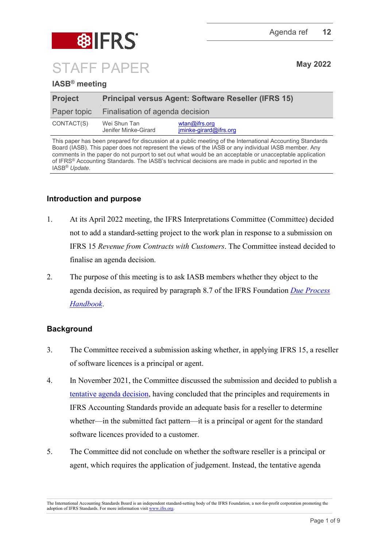

## **IASB® meeting**

| <b>Project</b> | <b>Principal versus Agent: Software Reseller (IFRS 15)</b> |                                                              |
|----------------|------------------------------------------------------------|--------------------------------------------------------------|
| Paper topic    | Finalisation of agenda decision                            |                                                              |
| CONTACT(S)     | Wei Shun Tan<br>Jenifer Minke-Girard                       | $w \tan \omega$ if rs.org<br>$iminke\text{-}airard@ifrs.org$ |

This paper has been prepared for discussion at a public meeting of the International Accounting Standards Board (IASB). This paper does not represent the views of the IASB or any individual IASB member. Any comments in the paper do not purport to set out what would be an acceptable or unacceptable application of IFRS® Accounting Standards. The IASB's technical decisions are made in public and reported in the IASB® *Update*.

## **Introduction and purpose**

- 1. At its April 2022 meeting, the IFRS Interpretations Committee (Committee) decided not to add a standard-setting project to the work plan in response to a submission on IFRS 15 *Revenue from Contracts with Customers*. The Committee instead decided to finalise an agenda decision.
- 2. The purpose of this meeting is to ask IASB members whether they object to the agenda decision, as required by paragraph 8.7 of the IFRS Foundation *[Due Process](https://www.ifrs.org/content/dam/ifrs/about-us/legal-and-governance/constitution-docs/due-process-handbook-2020.pdf)  [Handbook](https://www.ifrs.org/content/dam/ifrs/about-us/legal-and-governance/constitution-docs/due-process-handbook-2020.pdf)*.

## **Background**

- 3. The Committee received a submission asking whether, in applying IFRS 15, a reseller of software licences is a principal or agent.
- 4. In November 2021, the Committee discussed the submission and decided to publish a [tentative agenda decision,](https://www.ifrs.org/projects/work-plan/principal-versus-agent-software-reseller-ifrs-15/tentative-agenda-decision-and-comment-letters/) having concluded that the principles and requirements in IFRS Accounting Standards provide an adequate basis for a reseller to determine whether—in the submitted fact pattern—it is a principal or agent for the standard software licences provided to a customer.
- 5. The Committee did not conclude on whether the software reseller is a principal or agent, which requires the application of judgement. Instead, the tentative agenda

The International Accounting Standards Board is an independent standard-setting body of the IFRS Foundation, a not-for-profit corporation promoting the adoption of IFRS Standards. For more information visi[t www.ifrs.org.](http://www.ifrs.org/)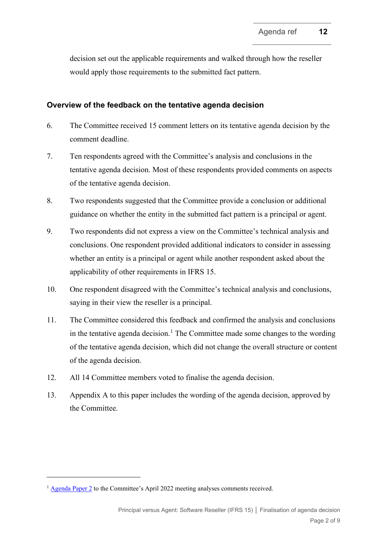decision set out the applicable requirements and walked through how the reseller would apply those requirements to the submitted fact pattern.

### **Overview of the feedback on the tentative agenda decision**

- 6. The Committee received 15 comment letters on its tentative agenda decision by the comment deadline.
- 7. Ten respondents agreed with the Committee's analysis and conclusions in the tentative agenda decision. Most of these respondents provided comments on aspects of the tentative agenda decision.
- 8. Two respondents suggested that the Committee provide a conclusion or additional guidance on whether the entity in the submitted fact pattern is a principal or agent.
- 9. Two respondents did not express a view on the Committee's technical analysis and conclusions. One respondent provided additional indicators to consider in assessing whether an entity is a principal or agent while another respondent asked about the applicability of other requirements in IFRS 15.
- 10. One respondent disagreed with the Committee's technical analysis and conclusions, saying in their view the reseller is a principal.
- 11. The Committee considered this feedback and confirmed the analysis and conclusions in the tentative agenda decision.<sup>[1](#page-1-0)</sup> The Committee made some changes to the wording of the tentative agenda decision, which did not change the overall structure or content of the agenda decision.
- 12. All 14 Committee members voted to finalise the agenda decision.
- 13. Appendix A to this paper includes the wording of the agenda decision, approved by the Committee.

<span id="page-1-0"></span><sup>&</sup>lt;sup>1</sup> [Agenda Paper 2](https://www.ifrs.org/content/dam/ifrs/meetings/2022/april/ifric/ap2-principal-versus-agent-software-reseller-ifrs-15.pdf) to the Committee's April 2022 meeting analyses comments received.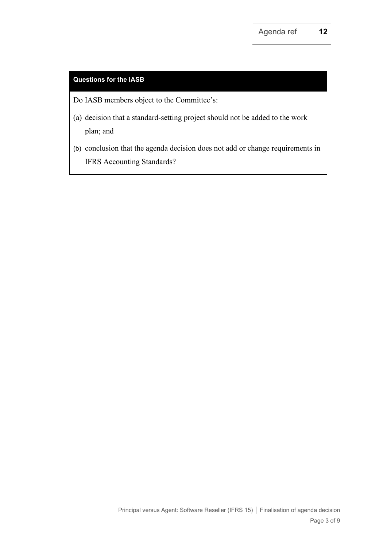## **Questions for the IASB**

- Do IASB members object to the Committee's:
- (a) decision that a standard-setting project should not be added to the work plan; and
- (b) conclusion that the agenda decision does not add or change requirements in IFRS Accounting Standards?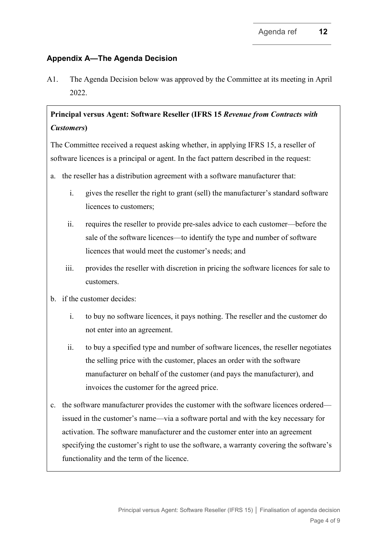## **Appendix A—The Agenda Decision**

A1. The Agenda Decision below was approved by the Committee at its meeting in April 2022.

## **Principal versus Agent: Software Reseller (IFRS 15** *Revenue from Contracts with Customers***)**

The Committee received a request asking whether, in applying IFRS 15, a reseller of software licences is a principal or agent. In the fact pattern described in the request:

- a. the reseller has a distribution agreement with a software manufacturer that:
	- i. gives the reseller the right to grant (sell) the manufacturer's standard software licences to customers;
	- ii. requires the reseller to provide pre-sales advice to each customer—before the sale of the software licences—to identify the type and number of software licences that would meet the customer's needs; and
	- iii. provides the reseller with discretion in pricing the software licences for sale to customers.
- b. if the customer decides:
	- i. to buy no software licences, it pays nothing. The reseller and the customer do not enter into an agreement.
	- ii. to buy a specified type and number of software licences, the reseller negotiates the selling price with the customer, places an order with the software manufacturer on behalf of the customer (and pays the manufacturer), and invoices the customer for the agreed price.
- c. the software manufacturer provides the customer with the software licences ordered issued in the customer's name—via a software portal and with the key necessary for activation. The software manufacturer and the customer enter into an agreement specifying the customer's right to use the software, a warranty covering the software's functionality and the term of the licence.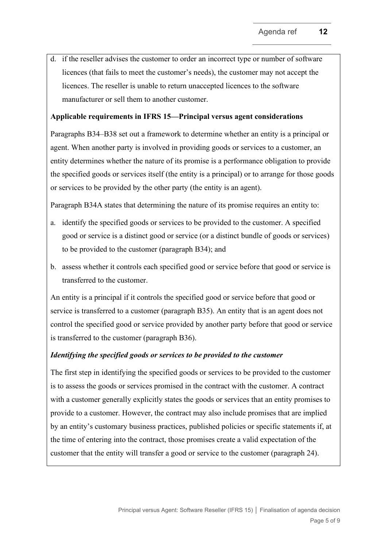d. if the reseller advises the customer to order an incorrect type or number of software licences (that fails to meet the customer's needs), the customer may not accept the licences. The reseller is unable to return unaccepted licences to the software manufacturer or sell them to another customer.

#### **Applicable requirements in IFRS 15—Principal versus agent considerations**

Paragraphs B34–B38 set out a framework to determine whether an entity is a principal or agent. When another party is involved in providing goods or services to a customer, an entity determines whether the nature of its promise is a performance obligation to provide the specified goods or services itself (the entity is a principal) or to arrange for those goods or services to be provided by the other party (the entity is an agent).

Paragraph B34A states that determining the nature of its promise requires an entity to:

- a. identify the specified goods or services to be provided to the customer. A specified good or service is a distinct good or service (or a distinct bundle of goods or services) to be provided to the customer (paragraph B34); and
- b. assess whether it controls each specified good or service before that good or service is transferred to the customer.

An entity is a principal if it controls the specified good or service before that good or service is transferred to a customer (paragraph B35). An entity that is an agent does not control the specified good or service provided by another party before that good or service is transferred to the customer (paragraph B36).

#### *Identifying the specified goods or services to be provided to the customer*

The first step in identifying the specified goods or services to be provided to the customer is to assess the goods or services promised in the contract with the customer. A contract with a customer generally explicitly states the goods or services that an entity promises to provide to a customer. However, the contract may also include promises that are implied by an entity's customary business practices, published policies or specific statements if, at the time of entering into the contract, those promises create a valid expectation of the customer that the entity will transfer a good or service to the customer (paragraph 24).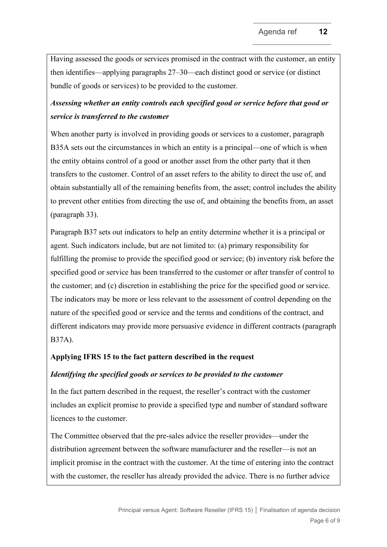Having assessed the goods or services promised in the contract with the customer, an entity then identifies—applying paragraphs 27–30—each distinct good or service (or distinct bundle of goods or services) to be provided to the customer.

# *Assessing whether an entity controls each specified good or service before that good or service is transferred to the customer*

When another party is involved in providing goods or services to a customer, paragraph B35A sets out the circumstances in which an entity is a principal—one of which is when the entity obtains control of a good or another asset from the other party that it then transfers to the customer. Control of an asset refers to the ability to direct the use of, and obtain substantially all of the remaining benefits from, the asset; control includes the ability to prevent other entities from directing the use of, and obtaining the benefits from, an asset (paragraph 33).

Paragraph B37 sets out indicators to help an entity determine whether it is a principal or agent. Such indicators include, but are not limited to: (a) primary responsibility for fulfilling the promise to provide the specified good or service; (b) inventory risk before the specified good or service has been transferred to the customer or after transfer of control to the customer; and (c) discretion in establishing the price for the specified good or service. The indicators may be more or less relevant to the assessment of control depending on the nature of the specified good or service and the terms and conditions of the contract, and different indicators may provide more persuasive evidence in different contracts (paragraph B37A).

## **Applying IFRS 15 to the fact pattern described in the request**

#### *Identifying the specified goods or services to be provided to the customer*

In the fact pattern described in the request, the reseller's contract with the customer includes an explicit promise to provide a specified type and number of standard software licences to the customer.

The Committee observed that the pre-sales advice the reseller provides—under the distribution agreement between the software manufacturer and the reseller—is not an implicit promise in the contract with the customer. At the time of entering into the contract with the customer, the reseller has already provided the advice. There is no further advice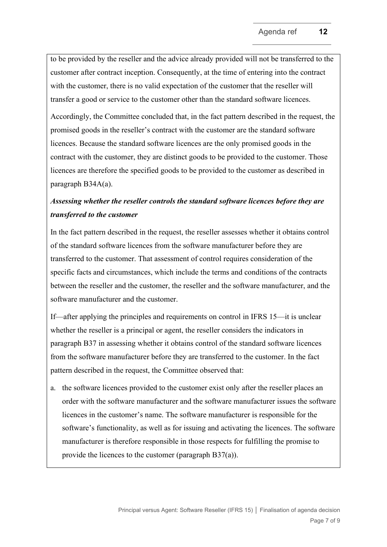to be provided by the reseller and the advice already provided will not be transferred to the customer after contract inception. Consequently, at the time of entering into the contract with the customer, there is no valid expectation of the customer that the reseller will transfer a good or service to the customer other than the standard software licences.

Accordingly, the Committee concluded that, in the fact pattern described in the request, the promised goods in the reseller's contract with the customer are the standard software licences. Because the standard software licences are the only promised goods in the contract with the customer, they are distinct goods to be provided to the customer. Those licences are therefore the specified goods to be provided to the customer as described in paragraph B34A(a).

## *Assessing whether the reseller controls the standard software licences before they are transferred to the customer*

In the fact pattern described in the request, the reseller assesses whether it obtains control of the standard software licences from the software manufacturer before they are transferred to the customer. That assessment of control requires consideration of the specific facts and circumstances, which include the terms and conditions of the contracts between the reseller and the customer, the reseller and the software manufacturer, and the software manufacturer and the customer.

If—after applying the principles and requirements on control in IFRS 15—it is unclear whether the reseller is a principal or agent, the reseller considers the indicators in paragraph B37 in assessing whether it obtains control of the standard software licences from the software manufacturer before they are transferred to the customer. In the fact pattern described in the request, the Committee observed that:

a. the software licences provided to the customer exist only after the reseller places an order with the software manufacturer and the software manufacturer issues the software licences in the customer's name. The software manufacturer is responsible for the software's functionality, as well as for issuing and activating the licences. The software manufacturer is therefore responsible in those respects for fulfilling the promise to provide the licences to the customer (paragraph B37(a)).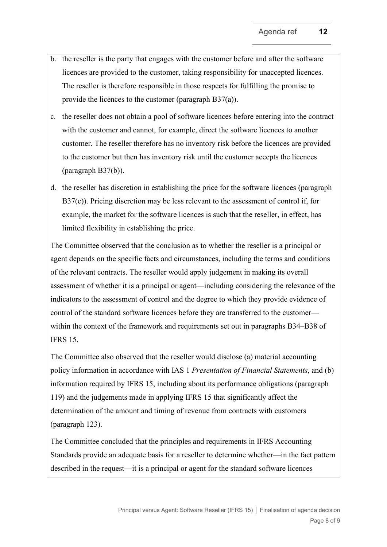- b. the reseller is the party that engages with the customer before and after the software licences are provided to the customer, taking responsibility for unaccepted licences. The reseller is therefore responsible in those respects for fulfilling the promise to provide the licences to the customer (paragraph B37(a)).
- c. the reseller does not obtain a pool of software licences before entering into the contract with the customer and cannot, for example, direct the software licences to another customer. The reseller therefore has no inventory risk before the licences are provided to the customer but then has inventory risk until the customer accepts the licences (paragraph B37(b)).
- d. the reseller has discretion in establishing the price for the software licences (paragraph B37(c)). Pricing discretion may be less relevant to the assessment of control if, for example, the market for the software licences is such that the reseller, in effect, has limited flexibility in establishing the price.

The Committee observed that the conclusion as to whether the reseller is a principal or agent depends on the specific facts and circumstances, including the terms and conditions of the relevant contracts. The reseller would apply judgement in making its overall assessment of whether it is a principal or agent—including considering the relevance of the indicators to the assessment of control and the degree to which they provide evidence of control of the standard software licences before they are transferred to the customer within the context of the framework and requirements set out in paragraphs B34–B38 of IFRS 15.

The Committee also observed that the reseller would disclose (a) material accounting policy information in accordance with IAS 1 *Presentation of Financial Statements*, and (b) information required by IFRS 15, including about its performance obligations (paragraph 119) and the judgements made in applying IFRS 15 that significantly affect the determination of the amount and timing of revenue from contracts with customers (paragraph 123).

The Committee concluded that the principles and requirements in IFRS Accounting Standards provide an adequate basis for a reseller to determine whether—in the fact pattern described in the request—it is a principal or agent for the standard software licences